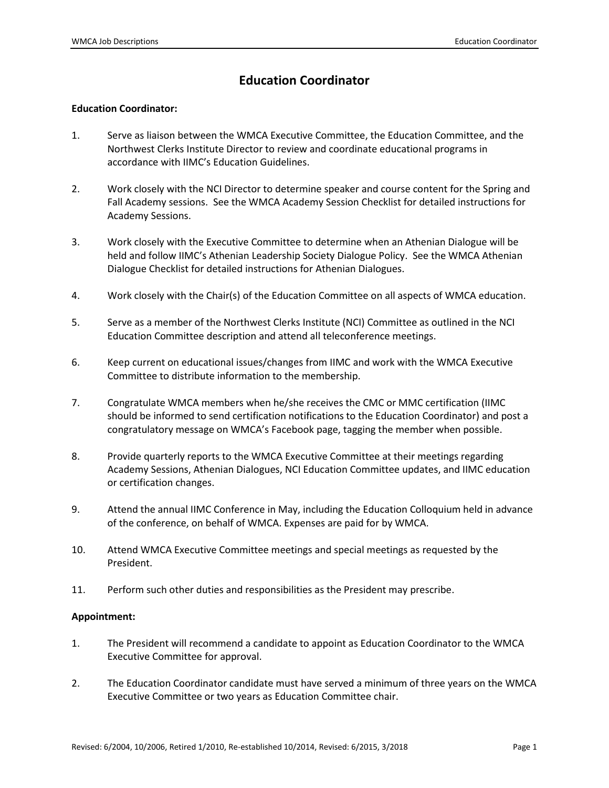# **Education Coordinator**

#### **Education Coordinator:**

- 1. Serve as liaison between the WMCA Executive Committee, the Education Committee, and the Northwest Clerks Institute Director to review and coordinate educational programs in accordance with IIMC's Education Guidelines.
- 2. Work closely with the NCI Director to determine speaker and course content for the Spring and Fall Academy sessions. See the WMCA Academy Session Checklist for detailed instructions for Academy Sessions.
- 3. Work closely with the Executive Committee to determine when an Athenian Dialogue will be held and follow IIMC's Athenian Leadership Society Dialogue Policy. See the WMCA Athenian Dialogue Checklist for detailed instructions for Athenian Dialogues.
- 4. Work closely with the Chair(s) of the Education Committee on all aspects of WMCA education.
- 5. Serve as a member of the Northwest Clerks Institute (NCI) Committee as outlined in the NCI Education Committee description and attend all teleconference meetings.
- 6. Keep current on educational issues/changes from IIMC and work with the WMCA Executive Committee to distribute information to the membership.
- 7. Congratulate WMCA members when he/she receives the CMC or MMC certification (IIMC should be informed to send certification notifications to the Education Coordinator) and post a congratulatory message on WMCA's Facebook page, tagging the member when possible.
- 8. Provide quarterly reports to the WMCA Executive Committee at their meetings regarding Academy Sessions, Athenian Dialogues, NCI Education Committee updates, and IIMC education or certification changes.
- 9. Attend the annual IIMC Conference in May, including the Education Colloquium held in advance of the conference, on behalf of WMCA. Expenses are paid for by WMCA.
- 10. Attend WMCA Executive Committee meetings and special meetings as requested by the President.
- 11. Perform such other duties and responsibilities as the President may prescribe.

#### **Appointment:**

- 1. The President will recommend a candidate to appoint as Education Coordinator to the WMCA Executive Committee for approval.
- 2. The Education Coordinator candidate must have served a minimum of three years on the WMCA Executive Committee or two years as Education Committee chair.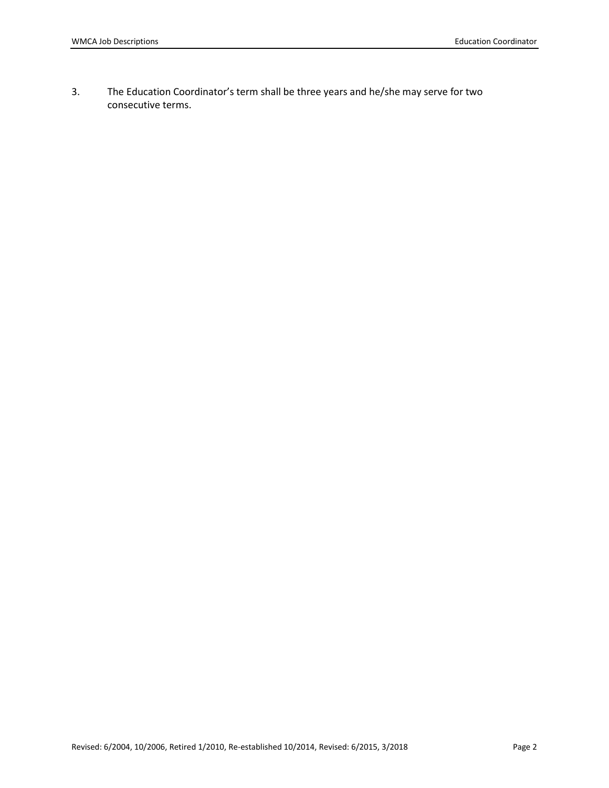3. The Education Coordinator's term shall be three years and he/she may serve for two consecutive terms.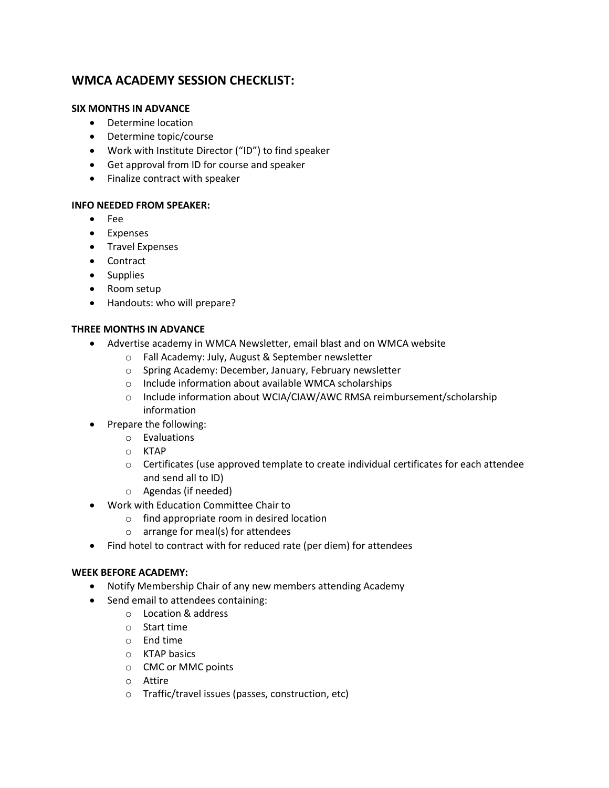# **WMCA ACADEMY SESSION CHECKLIST:**

#### **SIX MONTHS IN ADVANCE**

- Determine location
- Determine topic/course
- Work with Institute Director ("ID") to find speaker
- Get approval from ID for course and speaker
- Finalize contract with speaker

#### **INFO NEEDED FROM SPEAKER:**

- Fee
- Expenses
- **•** Travel Expenses
- Contract
- Supplies
- Room setup
- Handouts: who will prepare?

#### **THREE MONTHS IN ADVANCE**

- Advertise academy in WMCA Newsletter, email blast and on WMCA website
	- o Fall Academy: July, August & September newsletter
	- o Spring Academy: December, January, February newsletter
	- o Include information about available WMCA scholarships
	- o Include information about WCIA/CIAW/AWC RMSA reimbursement/scholarship information
	- Prepare the following:
		- o Evaluations
			- o KTAP
			- $\circ$  Certificates (use approved template to create individual certificates for each attendee and send all to ID)
			- o Agendas (if needed)
- Work with Education Committee Chair to
	- o find appropriate room in desired location
	- o arrange for meal(s) for attendees
- Find hotel to contract with for reduced rate (per diem) for attendees

#### **WEEK BEFORE ACADEMY:**

- Notify Membership Chair of any new members attending Academy
- Send email to attendees containing:
	- o Location & address
	- o Start time
	- o End time
	- o KTAP basics
	- o CMC or MMC points
	- o Attire
	- o Traffic/travel issues (passes, construction, etc)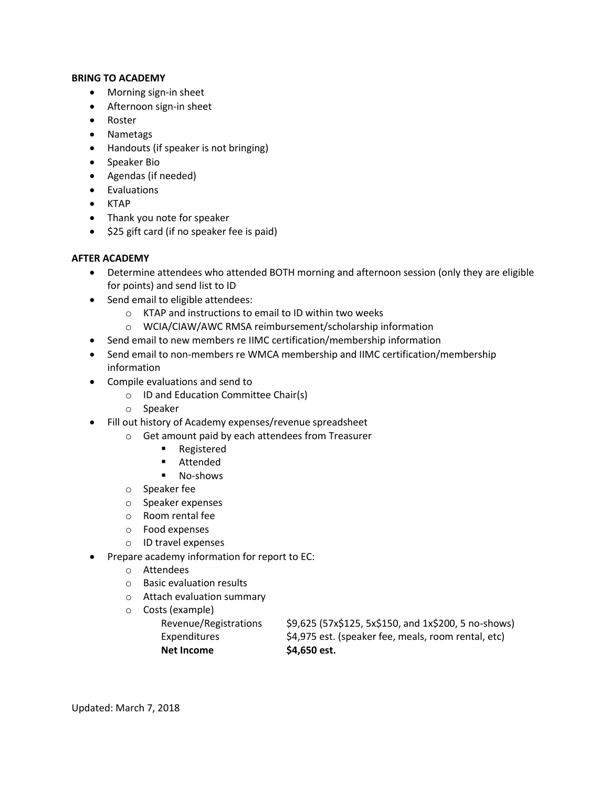#### **BRING TO ACADEMY**

- Morning sign-in sheet
- Afternoon sign-in sheet
- Roster
- Nametags
- Handouts (if speaker is not bringing)
- Speaker Bio
- Agendas (if needed)
- Evaluations
- $\bullet$  KTAP
- Thank you note for speaker
- \$25 gift card (if no speaker fee is paid)

#### **AFTER ACADEMY**

- Determine attendees who attended BOTH morning and afternoon session (only they are eligible for points) and send list to ID
- Send email to eligible attendees:
	- o KTAP and instructions to email to ID within two weeks
	- o WCIA/CIAW/AWC RMSA reimbursement/scholarship information
- Send email to new members re IIMC certification/membership information
- Send email to non-members re WMCA membership and IIMC certification/membership information
- Compile evaluations and send to
	- o ID and Education Committee Chair(s)
	- o Speaker
- Fill out history of Academy expenses/revenue spreadsheet
	- o Get amount paid by each attendees from Treasurer
		- **Registered**
		- **Attended**
		- **No-shows**
		- o Speaker fee
		- o Speaker expenses
		- o Room rental fee
		- o Food expenses
		- o ID travel expenses
	- Prepare academy information for report to EC:
		- o Attendees
		- o Basic evaluation results
		- o Attach evaluation summary
		- o Costs (example)
			- Revenue/Registrations \$9,625 (57x\$125, 5x\$150, and 1x\$200, 5 no-shows) Expenditures \$4,975 est. (speaker fee, meals, room rental, etc) **Net Income \$4,650 est.**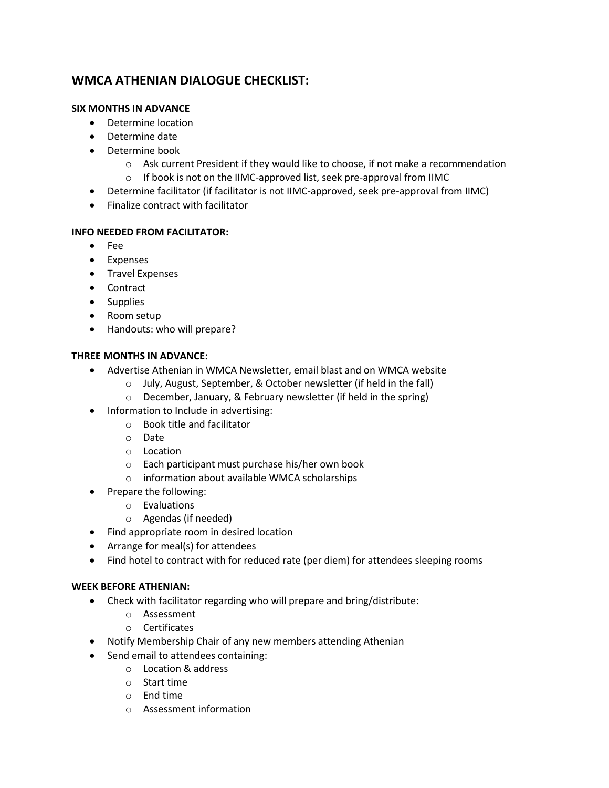# **WMCA ATHENIAN DIALOGUE CHECKLIST:**

### **SIX MONTHS IN ADVANCE**

- Determine location
- Determine date
- Determine book
	- o Ask current President if they would like to choose, if not make a recommendation
	- o If book is not on the IIMC-approved list, seek pre-approval from IIMC
- Determine facilitator (if facilitator is not IIMC-approved, seek pre-approval from IIMC)
- Finalize contract with facilitator

### **INFO NEEDED FROM FACILITATOR:**

- Fee
- Expenses
- **•** Travel Expenses
- Contract
- Supplies
- Room setup
- Handouts: who will prepare?

# **THREE MONTHS IN ADVANCE:**

- Advertise Athenian in WMCA Newsletter, email blast and on WMCA website
	- o July, August, September, & October newsletter (if held in the fall)
	- o December, January, & February newsletter (if held in the spring)
- Information to Include in advertising:
	- o Book title and facilitator
	- o Date
	- o Location
	- o Each participant must purchase his/her own book
	- o information about available WMCA scholarships
- Prepare the following:
	- o Evaluations
	- o Agendas (if needed)
- Find appropriate room in desired location
- Arrange for meal(s) for attendees
- Find hotel to contract with for reduced rate (per diem) for attendees sleeping rooms

#### **WEEK BEFORE ATHENIAN:**

- Check with facilitator regarding who will prepare and bring/distribute:
	- o Assessment
	- o Certificates
- Notify Membership Chair of any new members attending Athenian
- Send email to attendees containing:
	- o Location & address
	- o Start time
	- o End time
	- o Assessment information